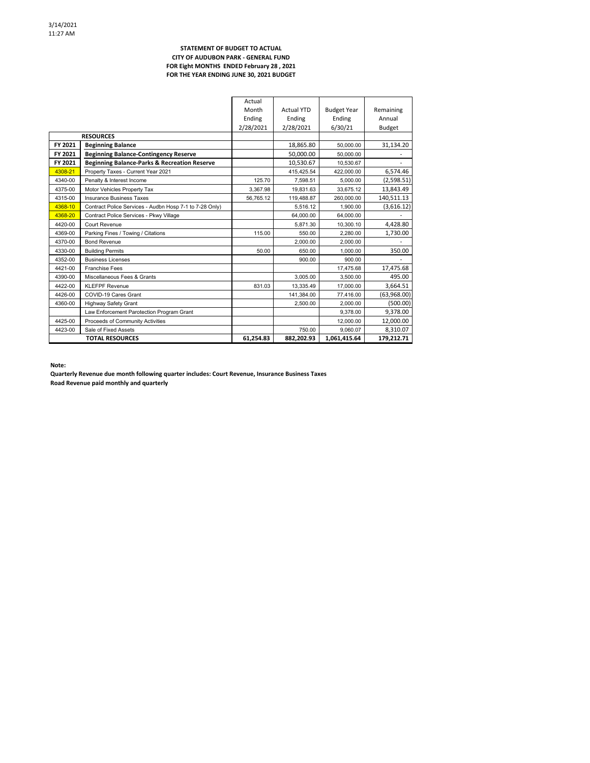## **STATEMENT OF BUDGET TO ACTUAL CITY OF AUDUBON PARK - GENERAL FUND FOR Eight MONTHS ENDED February 28 , 2021 FOR THE YEAR ENDING JUNE 30, 2021 BUDGET**

|                  |                                                         | Actual    |                   |                    |               |
|------------------|---------------------------------------------------------|-----------|-------------------|--------------------|---------------|
|                  |                                                         | Month     | <b>Actual YTD</b> | <b>Budget Year</b> | Remaining     |
|                  |                                                         | Ending    | Ending            | Ending             | Annual        |
|                  |                                                         | 2/28/2021 | 2/28/2021         | 6/30/21            | <b>Budget</b> |
| <b>RESOURCES</b> |                                                         |           |                   |                    |               |
| FY 2021          | <b>Beginning Balance</b>                                |           | 18,865.80         | 50.000.00          | 31,134.20     |
| FY 2021          | <b>Beginning Balance-Contingency Reserve</b>            |           | 50.000.00         | 50,000.00          |               |
| FY 2021          | <b>Beginning Balance-Parks &amp; Recreation Reserve</b> |           | 10,530.67         | 10.530.67          |               |
| 4308-21          | Property Taxes - Current Year 2021                      |           | 415,425.54        | 422,000.00         | 6,574.46      |
| 4340-00          | Penalty & Interest Income                               | 125.70    | 7.598.51          | 5.000.00           | (2,598.51)    |
| 4375-00          | Motor Vehicles Property Tax                             | 3,367.98  | 19.831.63         | 33.675.12          | 13,843.49     |
| 4315-00          | <b>Insurance Business Taxes</b>                         | 56.765.12 | 119,488.87        | 260.000.00         | 140,511.13    |
| 4368-10          | Contract Police Services - Audbn Hosp 7-1 to 7-28 Only) |           | 5.516.12          | 1.900.00           | (3,616.12)    |
| 4368-20          | Contract Police Services - Pkwy Village                 |           | 64,000.00         | 64.000.00          |               |
| 4420-00          | Court Revenue                                           |           | 5.871.30          | 10.300.10          | 4,428.80      |
| 4369-00          | Parking Fines / Towing / Citations                      | 115.00    | 550.00            | 2.280.00           | 1,730.00      |
| 4370-00          | <b>Bond Revenue</b>                                     |           | 2,000.00          | 2,000.00           |               |
| 4330-00          | <b>Building Permits</b>                                 | 50.00     | 650.00            | 1.000.00           | 350.00        |
| 4352-00          | <b>Business Licenses</b>                                |           | 900.00            | 900.00             |               |
| 4421-00          | <b>Franchise Fees</b>                                   |           |                   | 17,475.68          | 17,475.68     |
| 4390-00          | Miscellaneous Fees & Grants                             |           | 3.005.00          | 3.500.00           | 495.00        |
| 4422-00          | <b>KLEFPF Revenue</b>                                   | 831.03    | 13.335.49         | 17,000.00          | 3,664.51      |
| 4426-00          | COVID-19 Cares Grant                                    |           | 141,384.00        | 77,416.00          | (63,968.00)   |
| 4360-00          | <b>Highway Safety Grant</b>                             |           | 2.500.00          | 2.000.00           | (500.00)      |
|                  | Law Enforcement Parotection Program Grant               |           |                   | 9.378.00           | 9,378.00      |
| 4425-00          | Proceeds of Community Activities                        |           |                   | 12,000.00          | 12,000.00     |
| 4423-00          | Sale of Fixed Assets                                    |           | 750.00            | 9.060.07           | 8,310.07      |
|                  | <b>TOTAL RESOURCES</b>                                  | 61.254.83 | 882,202.93        | 1.061.415.64       | 179.212.71    |

**Note:**

**Quarterly Revenue due month following quarter includes: Court Revenue, Insurance Business Taxes Road Revenue paid monthly and quarterly**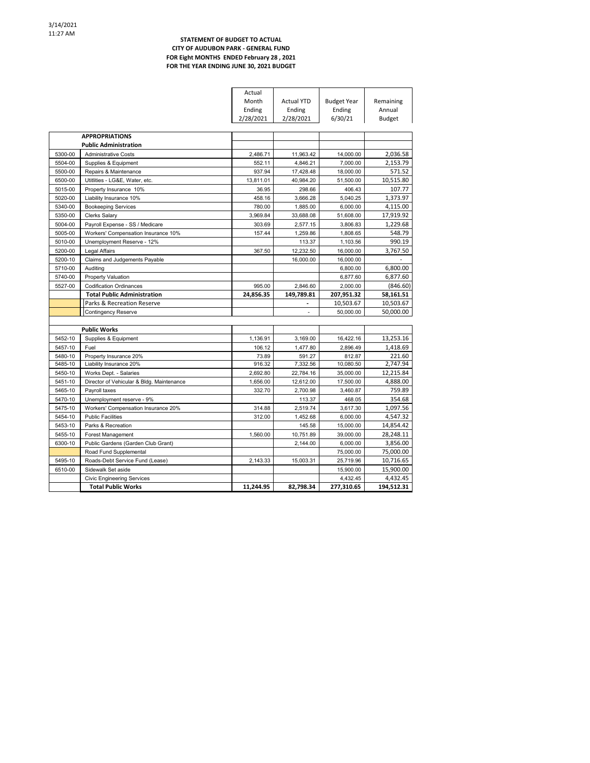## **STATEMENT OF BUDGET TO ACTUAL CITY OF AUDUBON PARK - GENERAL FUND FOR Eight MONTHS ENDED February 28 , 2021 FOR THE YEAR ENDING JUNE 30, 2021 BUDGET**

|         |                                           | Actual    |                   |                    |           |
|---------|-------------------------------------------|-----------|-------------------|--------------------|-----------|
|         |                                           | Month     | <b>Actual YTD</b> | <b>Budget Year</b> | Remaining |
|         |                                           | Ending    | Ending            | Ending             | Annual    |
|         |                                           | 2/28/2021 | 2/28/2021         | 6/30/21            | Budget    |
|         |                                           |           |                   |                    |           |
|         | <b>APPROPRIATIONS</b>                     |           |                   |                    |           |
|         | <b>Public Administration</b>              |           |                   |                    |           |
| 5300-00 | <b>Administrative Costs</b>               | 2,486.71  | 11,963.42         | 14,000.00          | 2,036.58  |
| 5504-00 | Supplies & Equipment                      | 552.11    | 4,846.21          | 7,000.00           | 2,153.79  |
| 5500-00 | Repairs & Maintenance                     | 937.94    | 17,428.48         | 18.000.00          | 571.52    |
| 6500-00 | Utitlities - LG&E, Water, etc.            | 13,811.01 | 40,984.20         | 51,500.00          | 10,515.80 |
| 5015-00 | Property Insurance 10%                    | 36.95     | 298.66            | 406.43             | 107.77    |
| 5020-00 | Liability Insurance 10%                   | 458.16    | 3,666.28          | 5,040.25           | 1,373.97  |
| 5340-00 | <b>Bookeeping Services</b>                | 780.00    | 1,885.00          | 6,000.00           | 4,115.00  |
| 5350-00 | <b>Clerks Salary</b>                      | 3,969.84  | 33,688.08         | 51,608.00          | 17,919.92 |
| 5004-00 | Payroll Expense - SS / Medicare           | 303.69    | 2,577.15          | 3,806.83           | 1,229.68  |
| 5005-00 | Workers' Compensation Insurance 10%       | 157.44    | 1,259.86          | 1,808.65           | 548.79    |
| 5010-00 | Unemployment Reserve - 12%                |           | 113.37            | 1,103.56           | 990.19    |
| 5200-00 | Legal Affairs                             | 367.50    | 12.232.50         | 16.000.00          | 3.767.50  |
| 5200-10 | Claims and Judgements Payable             |           | 16,000.00         | 16,000.00          |           |
| 5710-00 | Auditing                                  |           |                   | 6,800.00           | 6,800.00  |
| 5740-00 | <b>Property Valuation</b>                 |           |                   | 6,877.60           | 6,877.60  |
| 5527-00 | <b>Codification Ordinances</b>            | 995.00    | 2,846.60          | 2,000.00           | (846.60)  |
|         | <b>Total Public Administration</b>        | 24.856.35 | 149.789.81        | 207,951.32         | 58,161.51 |
|         | Parks & Recreation Reserve                |           |                   | 10,503.67          | 10,503.67 |
|         | <b>Contingency Reserve</b>                |           | ä,                | 50.000.00          | 50,000.00 |
|         |                                           |           |                   |                    |           |
|         | <b>Public Works</b>                       |           |                   |                    |           |
| 5452-10 | Supplies & Equipment                      | 1,136.91  | 3.169.00          | 16.422.16          | 13,253.16 |
| 5457-10 | Fuel                                      | 106.12    | 1,477.80          | 2,896.49           | 1,418.69  |
| 5480-10 | Property Insurance 20%                    | 73.89     | 591.27            | 812.87             | 221.60    |
| 5485-10 | Liability Insurance 20%                   | 916.32    | 7,332.56          | 10,080.50          | 2,747.94  |
| 5450-10 | Works Dept. - Salaries                    | 2,692.80  | 22,784.16         | 35,000.00          | 12,215.84 |
| 5451-10 | Director of Vehicular & Bldg. Maintenance |           |                   |                    |           |
|         |                                           | 1,656.00  | 12,612.00         | 17,500.00          | 4,888.00  |
| 5465-10 | Payroll taxes                             | 332.70    | 2,700.98          | 3,460.87           | 759.89    |
| 5470-10 | Unemployment reserve - 9%                 |           | 113.37            | 468.05             | 354.68    |
| 5475-10 | Workers' Compensation Insurance 20%       | 314.88    | 2,519.74          | 3,617.30           | 1,097.56  |
| 5454-10 | <b>Public Facilities</b>                  | 312.00    | 1,452.68          | 6,000.00           | 4,547.32  |
| 5453-10 | Parks & Recreation                        |           | 145.58            | 15.000.00          | 14,854.42 |
| 5455-10 | Forest Management                         | 1,560.00  | 10,751.89         | 39,000.00          | 28,248.11 |
| 6300-10 | Public Gardens (Garden Club Grant)        |           | 2.144.00          | 6,000.00           | 3,856.00  |
|         | Road Fund Supplemental                    |           |                   | 75,000.00          | 75,000.00 |
| 5495-10 | Roads-Debt Service Fund (Lease)           | 2,143.33  | 15.003.31         | 25.719.96          | 10,716.65 |
| 6510-00 | Sidewalk Set aside                        |           |                   | 15,900.00          | 15,900.00 |
|         | <b>Civic Engineering Services</b>         |           |                   | 4,432.45           | 4,432.45  |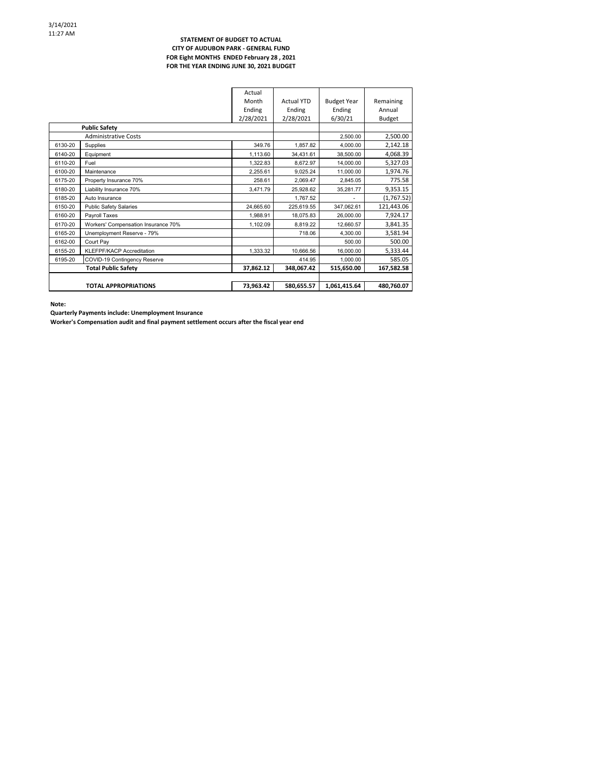### **STATEMENT OF BUDGET TO ACTUAL CITY OF AUDUBON PARK - GENERAL FUND FOR Eight MONTHS ENDED February 28 , 2021 FOR THE YEAR ENDING JUNE 30, 2021 BUDGET**

|                      |                                     | Actual    |                   |                    |            |
|----------------------|-------------------------------------|-----------|-------------------|--------------------|------------|
|                      |                                     | Month     | <b>Actual YTD</b> | <b>Budget Year</b> | Remaining  |
|                      |                                     | Ending    | Ending            | Ending             | Annual     |
|                      |                                     | 2/28/2021 | 2/28/2021         | 6/30/21            | Budget     |
| <b>Public Safety</b> |                                     |           |                   |                    |            |
|                      | <b>Administrative Costs</b>         |           |                   | 2,500.00           | 2,500.00   |
| 6130-20              | Supplies                            | 349.76    | 1.857.82          | 4.000.00           | 2,142.18   |
| 6140-20              | Equipment                           | 1,113.60  | 34,431.61         | 38.500.00          | 4,068.39   |
| 6110-20              | Fuel                                | 1.322.83  | 8,672.97          | 14.000.00          | 5,327.03   |
| 6100-20              | Maintenance                         | 2.255.61  | 9,025.24          | 11.000.00          | 1,974.76   |
| 6175-20              | Property Insurance 70%              | 258.61    | 2,069.47          | 2,845.05           | 775.58     |
| 6180-20              | Liability Insurance 70%             | 3,471.79  | 25.928.62         | 35,281.77          | 9,353.15   |
| 6185-20              | Auto Insurance                      |           | 1,767.52          |                    | (1,767.52) |
| 6150-20              | <b>Public Safety Salaries</b>       | 24,665.60 | 225,619.55        | 347,062.61         | 121,443.06 |
| 6160-20              | Payroll Taxes                       | 1.988.91  | 18,075.83         | 26.000.00          | 7,924.17   |
| 6170-20              | Workers' Compensation Insurance 70% | 1,102.09  | 8,819.22          | 12,660.57          | 3,841.35   |
| 6165-20              | Unemployment Reserve - 79%          |           | 718.06            | 4.300.00           | 3,581.94   |
| 6162-00              | Court Pav                           |           |                   | 500.00             | 500.00     |
| 6155-20              | <b>KLEFPF/KACP Accreditation</b>    | 1,333.32  | 10,666.56         | 16.000.00          | 5,333.44   |
| 6195-20              | COVID-19 Contingency Reserve        |           | 414.95            | 1,000.00           | 585.05     |
|                      | <b>Total Public Safety</b>          |           | 348,067.42        | 515,650.00         | 167,582.58 |
|                      |                                     |           |                   |                    |            |
|                      | <b>TOTAL APPROPRIATIONS</b>         | 73,963.42 | 580,655.57        | 1,061,415.64       | 480,760.07 |

**Note:**

**Quarterly Payments include: Unemployment Insurance**

**Worker's Compensation audit and final payment settlement occurs after the fiscal year end**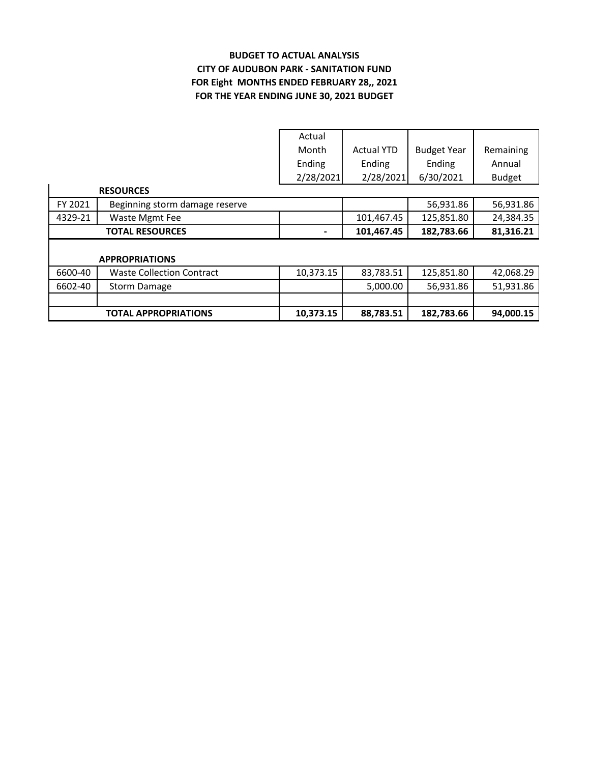# **BUDGET TO ACTUAL ANALYSIS CITY OF AUDUBON PARK - SANITATION FUND FOR THE YEAR ENDING JUNE 30, 2021 BUDGET FOR Eight MONTHS ENDED FEBRUARY 28,, 2021**

|         |                                  | Actual    |                   |                    |               |
|---------|----------------------------------|-----------|-------------------|--------------------|---------------|
|         |                                  | Month     | <b>Actual YTD</b> | <b>Budget Year</b> | Remaining     |
|         |                                  | Ending    | Ending            | Ending             | Annual        |
|         |                                  | 2/28/2021 | 2/28/2021         | 6/30/2021          | <b>Budget</b> |
|         | <b>RESOURCES</b>                 |           |                   |                    |               |
| FY 2021 | Beginning storm damage reserve   |           |                   | 56,931.86          | 56,931.86     |
| 4329-21 | Waste Mgmt Fee                   |           | 101,467.45        | 125,851.80         | 24,384.35     |
|         | <b>TOTAL RESOURCES</b>           |           | 101,467.45        | 182,783.66         | 81,316.21     |
|         |                                  |           |                   |                    |               |
|         | <b>APPROPRIATIONS</b>            |           |                   |                    |               |
| 6600-40 | <b>Waste Collection Contract</b> | 10,373.15 | 83,783.51         | 125,851.80         | 42,068.29     |
| 6602-40 | <b>Storm Damage</b>              |           | 5,000.00          | 56,931.86          | 51,931.86     |
|         |                                  |           |                   |                    |               |
|         | <b>TOTAL APPROPRIATIONS</b>      | 10,373.15 | 88,783.51         | 182,783.66         | 94,000.15     |